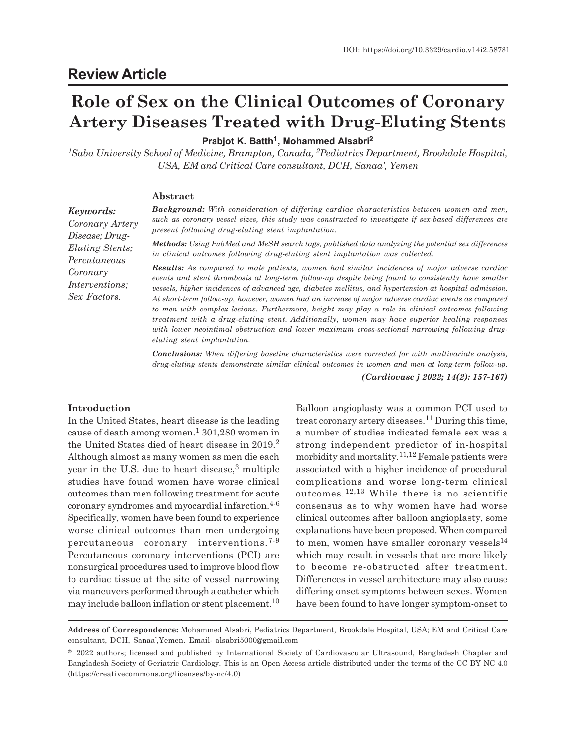## **Role of Sex on the Clinical Outcomes of Coronary Artery Diseases Treated with Drug-Eluting Stents**

**Prabjot K. Batth<sup>1</sup> , Mohammed Alsabri<sup>2</sup>**

*<sup>1</sup>Saba University School of Medicine, Brampton, Canada, 2Pediatrics Department, Brookdale Hospital, USA, EM and Critical Care consultant, DCH, Sanaa', Yemen*

#### **Abstract**

*Background: With consideration of differing cardiac characteristics between women and men, such as coronary vessel sizes, this study was constructed to investigate if sex-based differences are present following drug-eluting stent implantation.*

*Methods: Using PubMed and MeSH search tags, published data analyzing the potential sex differences in clinical outcomes following drug-eluting stent implantation was collected.*

*Results: As compared to male patients, women had similar incidences of major adverse cardiac events and stent thrombosis at long-term follow-up despite being found to consistently have smaller vessels, higher incidences of advanced age, diabetes mellitus, and hypertension at hospital admission. At short-term follow-up, however, women had an increase of major adverse cardiac events as compared to men with complex lesions. Furthermore, height may play a role in clinical outcomes following treatment with a drug-eluting stent. Additionally, women may have superior healing responses with lower neointimal obstruction and lower maximum cross-sectional narrowing following drugeluting stent implantation.*

*Conclusions: When differing baseline characteristics were corrected for with multivariate analysis, drug-eluting stents demonstrate similar clinical outcomes in women and men at long-term follow-up.*

*(Cardiovasc j 2022; 14(2): 157-167)*

### **Introduction**

In the United States, heart disease is the leading cause of death among women. $^1$  301,280 women in the United States died of heart disease in 2019.<sup>2</sup> Although almost as many women as men die each year in the U.S. due to heart disease,<sup>3</sup> multiple studies have found women have worse clinical outcomes than men following treatment for acute coronary syndromes and myocardial infarction.<sup>4-6</sup> Specifically, women have been found to experience worse clinical outcomes than men undergoing percutaneous coronary interventions.7-9 Percutaneous coronary interventions (PCI) are nonsurgical procedures used to improve blood flow to cardiac tissue at the site of vessel narrowing via maneuvers performed through a catheter which may include balloon inflation or stent placement.<sup>10</sup>

Balloon angioplasty was a common PCI used to treat coronary artery diseases.11 During this time, a number of studies indicated female sex was a strong independent predictor of in-hospital morbidity and mortality.<sup>11,12</sup> Female patients were associated with a higher incidence of procedural complications and worse long-term clinical outcomes.12,13 While there is no scientific consensus as to why women have had worse clinical outcomes after balloon angioplasty, some explanations have been proposed. When compared to men, women have smaller coronary vessels $^{14}$ which may result in vessels that are more likely to become re-obstructed after treatment. Differences in vessel architecture may also cause differing onset symptoms between sexes. Women have been found to have longer symptom-onset to

*Coronary Artery Disease; Drug-Eluting Stents; Percutaneous Coronary Interventions; Sex Factors.*

*Keywords:*

**Address of Correspondence:** Mohammed Alsabri, Pediatrics Department, Brookdale Hospital, USA; EM and Critical Care consultant, DCH, Sanaa',Yemen. Email- alsabri5000@gmail.com

<sup>© 2022</sup> authors; licensed and published by International Society of Cardiovascular Ultrasound, Bangladesh Chapter and Bangladesh Society of Geriatric Cardiology. This is an Open Access article distributed under the terms of the CC BY NC 4.0 (https://creativecommons.org/licenses/by-nc/4.0)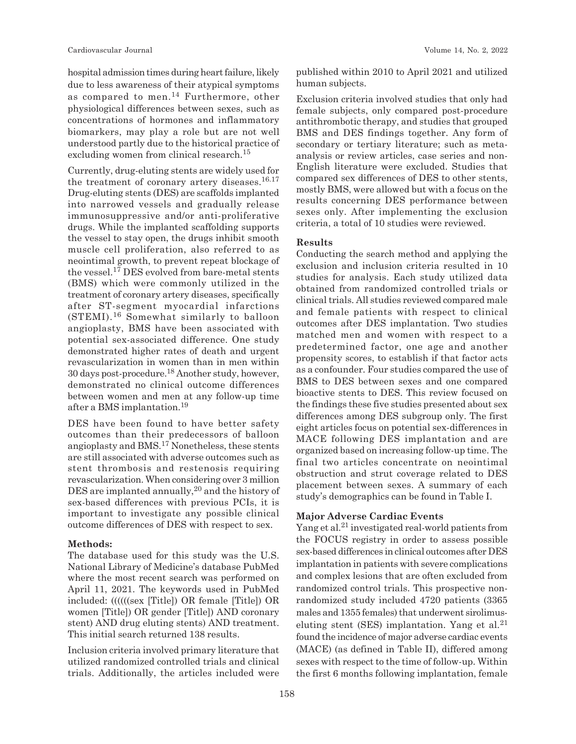hospital admission times during heart failure, likely due to less awareness of their atypical symptoms as compared to men.14 Furthermore, other physiological differences between sexes, such as concentrations of hormones and inflammatory biomarkers, may play a role but are not well understood partly due to the historical practice of excluding women from clinical research.<sup>15</sup>

Currently, drug-eluting stents are widely used for the treatment of coronary artery diseases.<sup>16.17</sup> Drug-eluting stents (DES) are scaffolds implanted into narrowed vessels and gradually release immunosuppressive and/or anti-proliferative drugs. While the implanted scaffolding supports the vessel to stay open, the drugs inhibit smooth muscle cell proliferation, also referred to as neointimal growth, to prevent repeat blockage of the vessel.17 DES evolved from bare-metal stents (BMS) which were commonly utilized in the treatment of coronary artery diseases, specifically after ST-segment myocardial infarctions (STEMI).16 Somewhat similarly to balloon angioplasty, BMS have been associated with potential sex-associated difference. One study demonstrated higher rates of death and urgent revascularization in women than in men within 30 days post-procedure.18 Another study, however, demonstrated no clinical outcome differences between women and men at any follow-up time after a BMS implantation.<sup>19</sup>

DES have been found to have better safety outcomes than their predecessors of balloon angioplasty and BMS.17 Nonetheless, these stents are still associated with adverse outcomes such as stent thrombosis and restenosis requiring revascularization. When considering over 3 million DES are implanted annually,  $20$  and the history of sex-based differences with previous PCIs, it is important to investigate any possible clinical outcome differences of DES with respect to sex.

#### **Methods:**

The database used for this study was the U.S. National Library of Medicine's database PubMed where the most recent search was performed on April 11, 2021. The keywords used in PubMed included: ((((((sex [Title]) OR female [Title]) OR women [Title]) OR gender [Title]) AND coronary stent) AND drug eluting stents) AND treatment. This initial search returned 138 results.

Inclusion criteria involved primary literature that utilized randomized controlled trials and clinical trials. Additionally, the articles included were published within 2010 to April 2021 and utilized human subjects.

Exclusion criteria involved studies that only had female subjects, only compared post-procedure antithrombotic therapy, and studies that grouped BMS and DES findings together. Any form of secondary or tertiary literature; such as metaanalysis or review articles, case series and non-English literature were excluded. Studies that compared sex differences of DES to other stents, mostly BMS, were allowed but with a focus on the results concerning DES performance between sexes only. After implementing the exclusion criteria, a total of 10 studies were reviewed.

#### **Results**

Conducting the search method and applying the exclusion and inclusion criteria resulted in 10 studies for analysis. Each study utilized data obtained from randomized controlled trials or clinical trials. All studies reviewed compared male and female patients with respect to clinical outcomes after DES implantation. Two studies matched men and women with respect to a predetermined factor, one age and another propensity scores, to establish if that factor acts as a confounder. Four studies compared the use of BMS to DES between sexes and one compared bioactive stents to DES. This review focused on the findings these five studies presented about sex differences among DES subgroup only. The first eight articles focus on potential sex-differences in MACE following DES implantation and are organized based on increasing follow-up time. The final two articles concentrate on neointimal obstruction and strut coverage related to DES placement between sexes. A summary of each study's demographics can be found in Table I.

#### **Major Adverse Cardiac Events**

Yang et al. $^{21}$  investigated real-world patients from the FOCUS registry in order to assess possible sex-based differences in clinical outcomes after DES implantation in patients with severe complications and complex lesions that are often excluded from randomized control trials. This prospective nonrandomized study included 4720 patients (3365 males and 1355 females) that underwent sirolimuseluting stent (SES) implantation. Yang et al. $^{21}$ found the incidence of major adverse cardiac events (MACE) (as defined in Table II), differed among sexes with respect to the time of follow-up. Within the first 6 months following implantation, female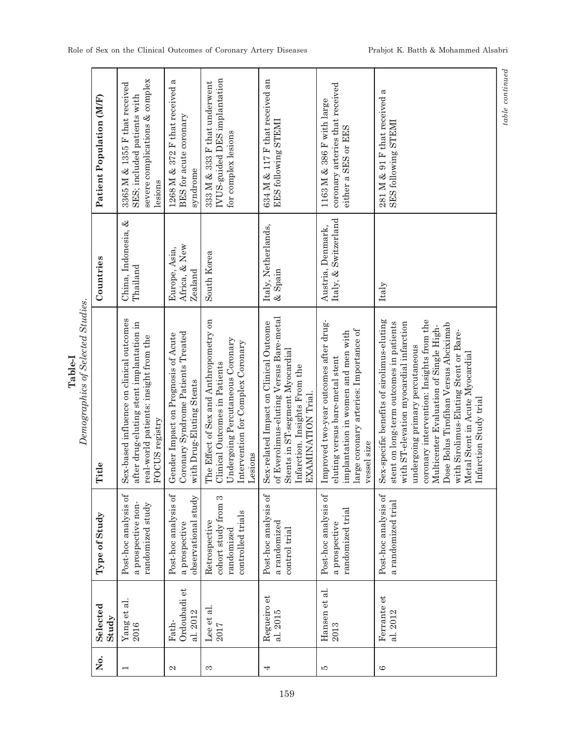|  | Patient Population (MF) | severe complications & complex<br>3365 M & 1355 F that received<br>SES; included patients with<br>lesions                                       | 1268 M & 372 F that received a<br>BES for acute coronary<br>syndrome                                  | IVUS-guided DES implantation<br>333 M & 333 F that underwent<br>for complex lesions                                                                         | 634 M & 117 F that received an<br>EES following STEMI                                                                                                                       | coronary arteries that received<br>1163 M & 386 F with large<br>either a SES or EES                                                                                      | 281 M & 91 F that received a<br>SES following STEMI                                                                                                                                                                                                                                                                                                                                                      |
|--|-------------------------|-------------------------------------------------------------------------------------------------------------------------------------------------|-------------------------------------------------------------------------------------------------------|-------------------------------------------------------------------------------------------------------------------------------------------------------------|-----------------------------------------------------------------------------------------------------------------------------------------------------------------------------|--------------------------------------------------------------------------------------------------------------------------------------------------------------------------|----------------------------------------------------------------------------------------------------------------------------------------------------------------------------------------------------------------------------------------------------------------------------------------------------------------------------------------------------------------------------------------------------------|
|  | Countries               | China, Indonesia, &<br>Thailand                                                                                                                 | Africa, & New<br>Europe, Asia,<br>Zealand                                                             | South Korea                                                                                                                                                 | Italy, Netherlands,<br>$\&$ Spain                                                                                                                                           | Italy, & Switzerland<br>Austria, Denmark,                                                                                                                                | Italy                                                                                                                                                                                                                                                                                                                                                                                                    |
|  | Title                   | Sex-based influence on clinical outcomes<br>after drug-eluting stent implantation in<br>real-world patients: insight from the<br>FOCUS registry | Coronary Syndrome Patients Treated<br>Gender Impact on Prognosis of Acute<br>with Drug-Eluting Stents | The Effect of Sex and Anthropometry on<br>Undergoing Percutaneous Coronary<br>Intervention for Complex Coronary<br>Clinical Outcomes in Patients<br>Lesions | of Everolimus-eluting Versus Bare-metal<br>Sex-related Impact on Clinical Outcome<br>Stents in ST-segment Myocardial<br>Infarction. Insights From the<br>EXAMINATION Trial. | Improved two-year outcomes after drug-<br>large coronary arteries: Importance of<br>implantation in women and men with<br>eluting versus bare-metal stent<br>vessel size | Sex-specific benefits of sirolimus-eluting<br>coronary intervention: Insights from the<br>stent on long-term outcomes in patients<br>with ST-elevation myocardial infarction<br>Dose Bolus Tirofiban Versus Abciximab<br>Multicenter Evaluation of Single High-<br>with Sirolimus-Eluting Stent or Bare-<br>undergoing primary percutaneous<br>Metal Stent in Acute Myocardial<br>Infarction Study trial |
|  | Type of Study           | $Post\text{-}hoc$ analysis of<br>randomized study<br>a prospective non-                                                                         | Post-hoc analysis of<br>observational study<br>a prospective                                          | cohort study from 3<br>controlled trials<br>Retrospective<br>randomized                                                                                     | $Post$ -hoc analysis of<br>a randomized<br>control trial                                                                                                                    | Post-hoc analysis of<br>randomized trial<br>a prospective                                                                                                                | Post-hoc analysis of<br>a randomized trial                                                                                                                                                                                                                                                                                                                                                               |
|  | Selected<br>Study       | $\frac{6}{2016}$ et al.                                                                                                                         | Ordoubadi et<br>al. 2012<br>Fath-                                                                     | Lee et al.<br>2017                                                                                                                                          | Regueiro et<br>al. 2015                                                                                                                                                     | Hansen et al.<br>2013                                                                                                                                                    | Ferrante et<br>al. 2012                                                                                                                                                                                                                                                                                                                                                                                  |
|  | ,<br>Ž                  |                                                                                                                                                 | 2                                                                                                     | S                                                                                                                                                           | 4                                                                                                                                                                           | LO.                                                                                                                                                                      | G                                                                                                                                                                                                                                                                                                                                                                                                        |

**Table-I**<br>Demographics of Selected Studies. *Demographics of Selected Studies.*

 ${\it table \ continued}$ *table continued*

159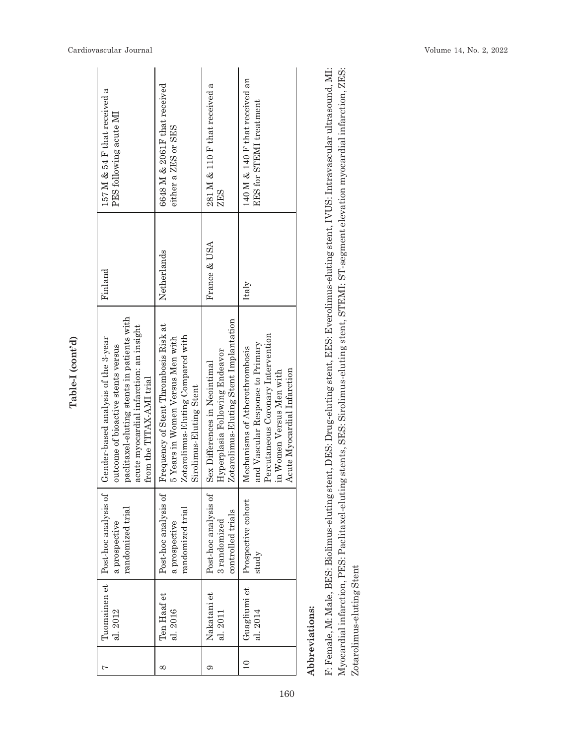| 157 M & 54 F that received a<br>PES following acute MI<br>Find and                                                                                                                             | 6648 M & 2061F that received<br>either a ZES or SES<br>Netherlands                                                                        | 281 M $\&$ 110 F that received a<br>ZES<br>France & USA                                                   | 140 M & 140 F that received an<br>EES for STEMI treatment<br>Italy                                                                                                  |
|------------------------------------------------------------------------------------------------------------------------------------------------------------------------------------------------|-------------------------------------------------------------------------------------------------------------------------------------------|-----------------------------------------------------------------------------------------------------------|---------------------------------------------------------------------------------------------------------------------------------------------------------------------|
| paclitaxel-eluting stents in patients with<br>acute myocardial infarction: an insight<br>Gender-based analysis of the 3-year<br>outcome of bioactive stents versus<br>from the TITAX-AMI trial | Frequency of Stent Thrombosis Risk at<br>Zotarolimus-Eluting Compared with<br>5 Years in Women Versus Men with<br>Sirolimus-Eluting Stent | Zotarolimus-Eluting Stent Implantation<br>Hyperplasia Following Endeavor<br>Sex Differences in Neointimal | Percutaneous Coronary Intervention<br>and Vascular Response to Primary<br>Mechanisms of Atherothrombosis<br>Acute Myocardial Infarction<br>in Women Versus Men with |
| Tuomainen et   Post-hoc analysis of<br>randomized trial<br>a prospective                                                                                                                       | Post-hoc analysis of<br>randomized trial<br>a prospective                                                                                 | Post-hoc analysis of<br>controlled trials<br>3 randomized                                                 | Prospective cohort<br>study                                                                                                                                         |
| al. 2012                                                                                                                                                                                       | Ten Haaf et<br>al. 2016                                                                                                                   | Nakatani et<br>al. 2011                                                                                   | Guagliumi et<br>al. 2014                                                                                                                                            |
|                                                                                                                                                                                                | œ                                                                                                                                         |                                                                                                           |                                                                                                                                                                     |

Table-I (cont'd) **Table-I (cont'd)**

# Abbreviations: **Abbreviations:**

F: Female, M: Male, BES: Biolimus-eluting stent, DES: Drug-eluting stent, EES: Everolimus-eluting stent, IVUS: Intravascular ultrasound, MI: Myocardial infarction, PES: Paclitaxel-eluting stents, SES: Sirolimus-eluting stent, STEMI: ST-segment elevation myocardial infarction, ZES: F: Female, M: Male, BES: Biolimus-eluting stent, DES: Drug-eluting stent, EES: Everolimus-eluting stent, IVUS: Intravascular ultrasound, MI: Myocardial infarction, PES: Paclitaxel-eluting stents, SES: Sirolimus-eluting stent, STEMI: ST-segment elevation myocardial infarction, ZES: Zotarolimus-eluting Stent Zotarolimus-eluting Stent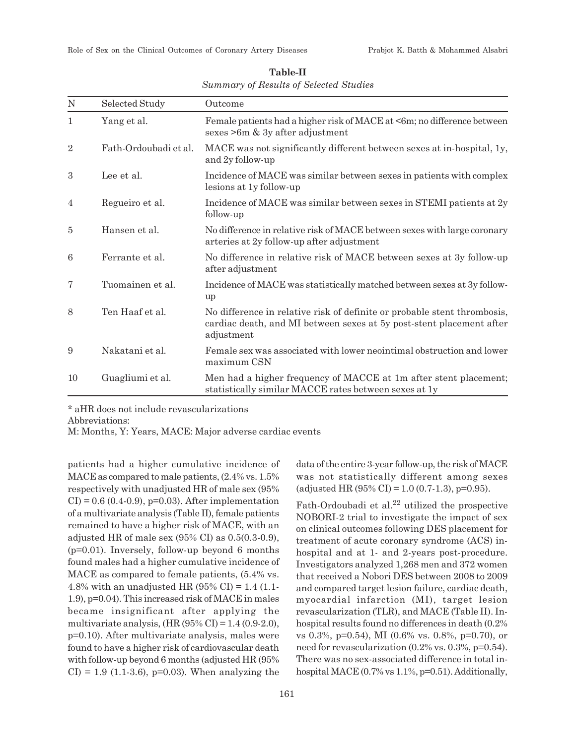| N              | Selected Study        | Outcome                                                                                                                                                        |  |
|----------------|-----------------------|----------------------------------------------------------------------------------------------------------------------------------------------------------------|--|
| $\mathbf{1}$   | Yang et al.           | Female patients had a higher risk of MACE at <6m; no difference between<br>sexes $>6m$ & 3y after adjustment                                                   |  |
| $\overline{2}$ | Fath-Ordoubadi et al. | MACE was not significantly different between sexes at in-hospital, 1y,<br>and 2y follow-up                                                                     |  |
| 3              | Lee et al.            | Incidence of MACE was similar between sexes in patients with complex<br>lesions at 1y follow-up                                                                |  |
| 4              | Regueiro et al.       | Incidence of MACE was similar between sexes in STEMI patients at 2y<br>follow-up                                                                               |  |
| 5              | Hansen et al.         | No difference in relative risk of MACE between sexes with large coronary<br>arteries at 2y follow-up after adjustment                                          |  |
| 6              | Ferrante et al.       | No difference in relative risk of MACE between sexes at 3y follow-up<br>after adjustment                                                                       |  |
| 7              | Tuomainen et al.      | Incidence of MACE was statistically matched between sexes at 3y follow-<br>up                                                                                  |  |
| 8              | Ten Haaf et al.       | No difference in relative risk of definite or probable stent thrombosis,<br>cardiac death, and MI between sexes at 5y post-stent placement after<br>adjustment |  |
| 9              | Nakatani et al.       | Female sex was associated with lower neointimal obstruction and lower<br>maximum CSN                                                                           |  |
| 10             | Guagliumi et al.      | Men had a higher frequency of MACCE at 1m after stent placement;<br>statistically similar MACCE rates between sexes at 1y                                      |  |

**Table-II** *Summary of Results of Selected Studies*

\* aHR does not include revascularizations

Abbreviations:

M: Months, Y: Years, MACE: Major adverse cardiac events

patients had a higher cumulative incidence of MACE as compared to male patients, (2.4% vs. 1.5% respectively with unadjusted HR of male sex (95%  $CI$ ) = 0.6 (0.4-0.9), p=0.03). After implementation of a multivariate analysis (Table II), female patients remained to have a higher risk of MACE, with an adjusted HR of male sex (95% CI) as 0.5(0.3-0.9), (p=0.01). Inversely, follow-up beyond 6 months found males had a higher cumulative incidence of MACE as compared to female patients, (5.4% vs. 4.8% with an unadjusted HR (95% CI) = 1.4 (1.1-1.9), p=0.04). This increased risk of MACE in males became insignificant after applying the multivariate analysis,  $(HR (95\% CI) = 1.4 (0.9-2.0),$ p=0.10). After multivariate analysis, males were found to have a higher risk of cardiovascular death with follow-up beyond 6 months (adjusted HR (95%  $CI$ ) = 1.9 (1.1-3.6), p=0.03). When analyzing the data of the entire 3-year follow-up, the risk of MACE was not statistically different among sexes (adjusted HR  $(95\% \text{ CI}) = 1.0 (0.7-1.3), \text{p=0.95}$ ).

Fath-Ordoubadi et al.<sup>22</sup> utilized the prospective NOBORI-2 trial to investigate the impact of sex on clinical outcomes following DES placement for treatment of acute coronary syndrome (ACS) inhospital and at 1- and 2-years post-procedure. Investigators analyzed 1,268 men and 372 women that received a Nobori DES between 2008 to 2009 and compared target lesion failure, cardiac death, myocardial infarction (MI), target lesion revascularization (TLR), and MACE (Table II). Inhospital results found no differences in death (0.2% vs 0.3%, p=0.54), MI (0.6% vs. 0.8%, p=0.70), or need for revascularization (0.2% vs. 0.3%, p=0.54). There was no sex-associated difference in total inhospital MACE (0.7% vs 1.1%, p=0.51). Additionally,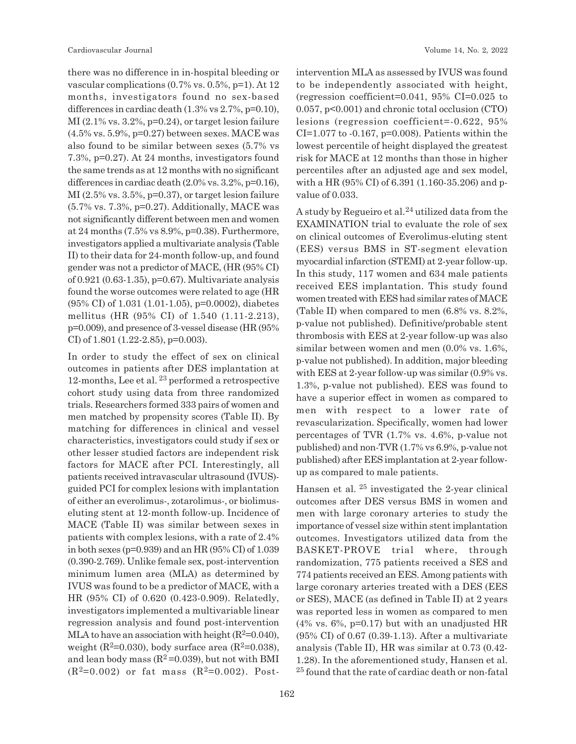there was no difference in in-hospital bleeding or vascular complications (0.7% vs. 0.5%, p=1). At 12 months, investigators found no sex-based differences in cardiac death (1.3% vs 2.7%, p=0.10),  $MI(2.1\%$  vs.  $3.2\%$ , p=0.24), or target lesion failure (4.5% vs. 5.9%, p=0.27) between sexes. MACE was also found to be similar between sexes (5.7% vs 7.3%, p=0.27). At 24 months, investigators found the same trends as at 12 months with no significant differences in cardiac death (2.0% vs. 3.2%, p=0.16),  $MI(2.5\% \text{ vs. } 3.5\%, \text{ p=0.37}),$  or target lesion failure (5.7% vs. 7.3%, p=0.27). Additionally, MACE was not significantly different between men and women at 24 months (7.5% vs 8.9%, p=0.38). Furthermore, investigators applied a multivariate analysis (Table II) to their data for 24-month follow-up, and found gender was not a predictor of MACE, (HR (95% CI) of 0.921 (0.63-1.35), p=0.67). Multivariate analysis found the worse outcomes were related to age (HR (95% CI) of 1.031 (1.01-1.05), p=0.0002), diabetes mellitus (HR (95% CI) of 1.540 (1.11-2.213), p=0.009), and presence of 3-vessel disease (HR (95% CI) of 1.801 (1.22-2.85), p=0.003).

In order to study the effect of sex on clinical outcomes in patients after DES implantation at 12-months, Lee et al. 23 performed a retrospective cohort study using data from three randomized trials. Researchers formed 333 pairs of women and men matched by propensity scores (Table II). By matching for differences in clinical and vessel characteristics, investigators could study if sex or other lesser studied factors are independent risk factors for MACE after PCI. Interestingly, all patients received intravascular ultrasound (IVUS) guided PCI for complex lesions with implantation of either an everolimus-, zotarolimus-, or biolimuseluting stent at 12-month follow-up. Incidence of MACE (Table II) was similar between sexes in patients with complex lesions, with a rate of 2.4% in both sexes (p=0.939) and an HR (95% CI) of 1.039 (0.390-2.769). Unlike female sex, post-intervention minimum lumen area (MLA) as determined by IVUS was found to be a predictor of MACE, with a HR (95% CI) of 0.620 (0.423-0.909). Relatedly, investigators implemented a multivariable linear regression analysis and found post-intervention MLA to have an association with height  $(R^2=0.040)$ , weight  $(R^2=0.030)$ , body surface area  $(R^2=0.038)$ , and lean body mass  $(R^2=0.039)$ , but not with BMI  $(R^2=0.002)$  or fat mass  $(R^2=0.002)$ . Postintervention MLA as assessed by IVUS was found to be independently associated with height, (regression coefficient=0.041, 95% CI=0.025 to 0.057, p<0.001) and chronic total occlusion (CTO) lesions (regression coefficient=-0.622, 95% CI=1.077 to  $-0.167$ , p=0.008). Patients within the lowest percentile of height displayed the greatest risk for MACE at 12 months than those in higher percentiles after an adjusted age and sex model, with a HR (95% CI) of 6.391 (1.160-35.206) and pvalue of 0.033.

A study by Regueiro et al. $^{24}$  utilized data from the EXAMINATION trial to evaluate the role of sex on clinical outcomes of Everolimus-eluting stent (EES) versus BMS in ST-segment elevation myocardial infarction (STEMI) at 2-year follow-up. In this study, 117 women and 634 male patients received EES implantation. This study found women treated with EES had similar rates of MACE (Table II) when compared to men (6.8% vs. 8.2%, p-value not published). Definitive/probable stent thrombosis with EES at 2-year follow-up was also similar between women and men (0.0% vs. 1.6%, p-value not published). In addition, major bleeding with EES at 2-year follow-up was similar  $(0.9\%$  vs. 1.3%, p-value not published). EES was found to have a superior effect in women as compared to men with respect to a lower rate of revascularization. Specifically, women had lower percentages of TVR (1.7% vs. 4.6%, p-value not published) and non-TVR (1.7% vs 6.9%, p-value not published) after EES implantation at 2-year followup as compared to male patients.

Hansen et al. 25 investigated the 2-year clinical outcomes after DES versus BMS in women and men with large coronary arteries to study the importance of vessel size within stent implantation outcomes. Investigators utilized data from the BASKET-PROVE trial where, through randomization, 775 patients received a SES and 774 patients received an EES. Among patients with large coronary arteries treated with a DES (EES or SES), MACE (as defined in Table II) at 2 years was reported less in women as compared to men  $(4\%$  vs. 6%, p=0.17) but with an unadjusted HR (95% CI) of 0.67 (0.39-1.13). After a multivariate analysis (Table II), HR was similar at 0.73 (0.42- 1.28). In the aforementioned study, Hansen et al. <sup>25</sup> found that the rate of cardiac death or non-fatal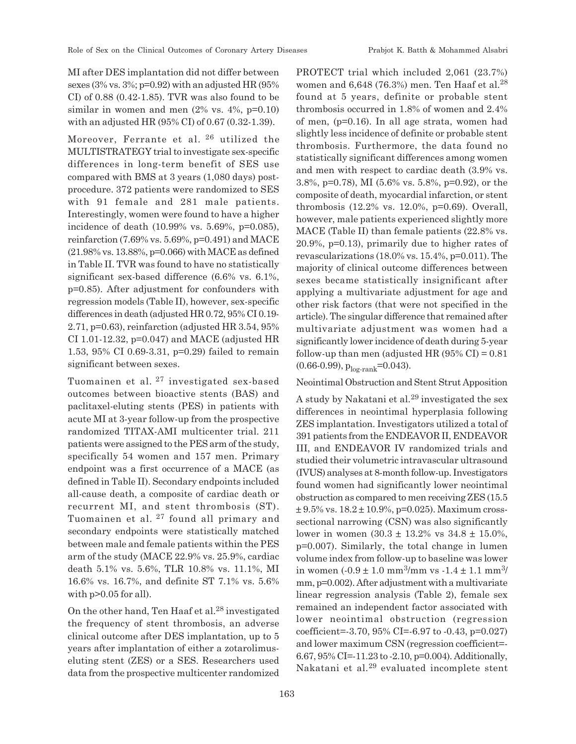MI after DES implantation did not differ between sexes (3% vs. 3%;  $p=0.92$ ) with an adjusted HR (95%) CI) of 0.88 (0.42-1.85). TVR was also found to be similar in women and men  $(2\%$  vs.  $4\%$ , p=0.10) with an adjusted HR (95% CI) of 0.67 (0.32-1.39).

Moreover, Ferrante et al. 26 utilized the MULTISTRATEGY trial to investigate sex-specific differences in long-term benefit of SES use compared with BMS at 3 years (1,080 days) postprocedure. 372 patients were randomized to SES with 91 female and 281 male patients. Interestingly, women were found to have a higher incidence of death (10.99% vs. 5.69%, p=0.085), reinfarction (7.69% vs. 5.69%, p=0.491) and MACE (21.98% vs. 13.88%, p=0.066) with MACE as defined in Table II. TVR was found to have no statistically significant sex-based difference (6.6% vs. 6.1%, p=0.85). After adjustment for confounders with regression models (Table II), however, sex-specific differences in death (adjusted HR 0.72, 95% CI 0.19- 2.71, p=0.63), reinfarction (adjusted HR 3.54, 95% CI 1.01-12.32, p=0.047) and MACE (adjusted HR 1.53, 95% CI 0.69-3.31, p=0.29) failed to remain significant between sexes.

Tuomainen et al. 27 investigated sex-based outcomes between bioactive stents (BAS) and paclitaxel-eluting stents (PES) in patients with acute MI at 3-year follow-up from the prospective randomized TITAX-AMI multicenter trial. 211 patients were assigned to the PES arm of the study, specifically 54 women and 157 men. Primary endpoint was a first occurrence of a MACE (as defined in Table II). Secondary endpoints included all-cause death, a composite of cardiac death or recurrent MI, and stent thrombosis (ST). Tuomainen et al. 27 found all primary and secondary endpoints were statistically matched between male and female patients within the PES arm of the study (MACE 22.9% vs. 25.9%, cardiac death 5.1% vs. 5.6%, TLR 10.8% vs. 11.1%, MI 16.6% vs. 16.7%, and definite ST 7.1% vs. 5.6% with  $p > 0.05$  for all).

On the other hand, Ten Haaf et al. $^{28}$  investigated the frequency of stent thrombosis, an adverse clinical outcome after DES implantation, up to 5 years after implantation of either a zotarolimuseluting stent (ZES) or a SES. Researchers used data from the prospective multicenter randomized PROTECT trial which included 2,061 (23.7%) women and 6,648 (76.3%) men. Ten Haaf et al.<sup>28</sup> found at 5 years, definite or probable stent thrombosis occurred in 1.8% of women and 2.4% of men, (p=0.16). In all age strata, women had slightly less incidence of definite or probable stent thrombosis. Furthermore, the data found no statistically significant differences among women and men with respect to cardiac death (3.9% vs. 3.8%, p=0.78), MI (5.6% vs. 5.8%, p=0.92), or the composite of death, myocardial infarction, or stent thrombosis (12.2% vs. 12.0%, p=0.69). Overall, however, male patients experienced slightly more MACE (Table II) than female patients (22.8% vs. 20.9%, p=0.13), primarily due to higher rates of revascularizations (18.0% vs. 15.4%, p=0.011). The majority of clinical outcome differences between sexes became statistically insignificant after applying a multivariate adjustment for age and other risk factors (that were not specified in the article). The singular difference that remained after multivariate adjustment was women had a significantly lower incidence of death during 5-year follow-up than men (adjusted HR  $(95\% \text{ CI}) = 0.81$  $(0.66-0.99)$ ,  $p_{\text{log-rank}}=0.043$ .

#### Neointimal Obstruction and Stent Strut Apposition

A study by Nakatani et al.<sup>29</sup> investigated the sex differences in neointimal hyperplasia following ZES implantation. Investigators utilized a total of 391 patients from the ENDEAVOR II, ENDEAVOR III, and ENDEAVOR IV randomized trials and studied their volumetric intravascular ultrasound (IVUS) analyses at 8-month follow-up. Investigators found women had significantly lower neointimal obstruction as compared to men receiving ZES (15.5  $\pm$  9.5% vs.  $18.2 \pm 10.9$ %, p=0.025). Maximum crosssectional narrowing (CSN) was also significantly lower in women  $(30.3 \pm 13.2\% \text{ vs } 34.8 \pm 15.0\%$ , p=0.007). Similarly, the total change in lumen volume index from follow-up to baseline was lower in women  $(-0.9 \pm 1.0 \text{ mm}^3/\text{mm} \text{ vs } -1.4 \pm 1.1 \text{ mm}^3/\text{mm}$ mm, p=0.002). After adjustment with a multivariate linear regression analysis (Table 2), female sex remained an independent factor associated with lower neointimal obstruction (regression coefficient= $-3.70, 95\%$  CI= $-6.97$  to  $-0.43, p=0.027$ ) and lower maximum CSN (regression coefficient=- 6.67, 95% CI=-11.23 to -2.10, p=0.004). Additionally, Nakatani et al.29 evaluated incomplete stent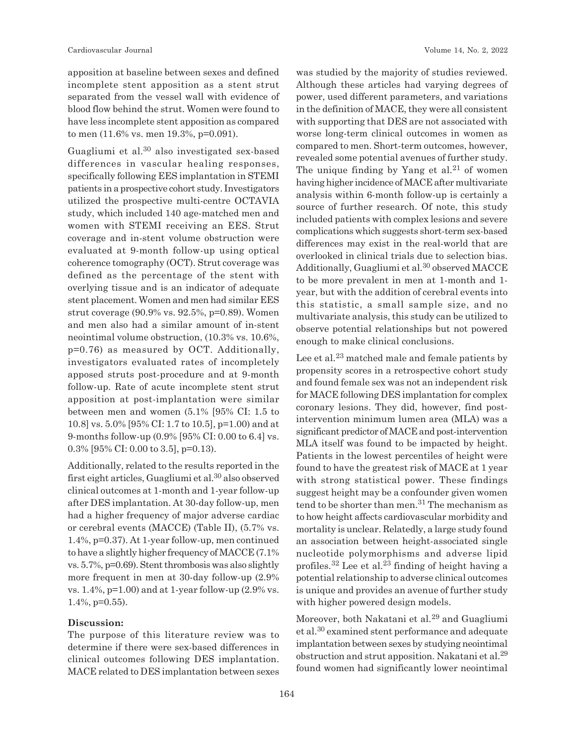apposition at baseline between sexes and defined incomplete stent apposition as a stent strut separated from the vessel wall with evidence of blood flow behind the strut. Women were found to have less incomplete stent apposition as compared to men (11.6% vs. men 19.3%, p=0.091).

Guagliumi et al.30 also investigated sex-based differences in vascular healing responses, specifically following EES implantation in STEMI patients in a prospective cohort study. Investigators utilized the prospective multi-centre OCTAVIA study, which included 140 age-matched men and women with STEMI receiving an EES. Strut coverage and in-stent volume obstruction were evaluated at 9-month follow-up using optical coherence tomography (OCT). Strut coverage was defined as the percentage of the stent with overlying tissue and is an indicator of adequate stent placement. Women and men had similar EES strut coverage (90.9% vs. 92.5%, p=0.89). Women and men also had a similar amount of in-stent neointimal volume obstruction, (10.3% vs. 10.6%, p=0.76) as measured by OCT. Additionally, investigators evaluated rates of incompletely apposed struts post-procedure and at 9-month follow-up. Rate of acute incomplete stent strut apposition at post-implantation were similar between men and women (5.1% [95% CI: 1.5 to 10.8] vs. 5.0% [95% CI: 1.7 to 10.5], p=1.00) and at 9-months follow-up (0.9% [95% CI: 0.00 to 6.4] vs. 0.3% [95% CI: 0.00 to 3.5], p=0.13).

Additionally, related to the results reported in the first eight articles, Guagliumi et al.30 also observed clinical outcomes at 1-month and 1-year follow-up after DES implantation. At 30-day follow-up, men had a higher frequency of major adverse cardiac or cerebral events (MACCE) (Table II), (5.7% vs. 1.4%, p=0.37). At 1-year follow-up, men continued to have a slightly higher frequency of MACCE (7.1% vs. 5.7%, p=0.69). Stent thrombosis was also slightly more frequent in men at 30-day follow-up (2.9% vs.  $1.4\%$ , p=1.00) and at 1-year follow-up  $(2.9\% \text{ vs.})$ 1.4%, p=0.55).

#### **Discussion:**

The purpose of this literature review was to determine if there were sex-based differences in clinical outcomes following DES implantation. MACE related to DES implantation between sexes was studied by the majority of studies reviewed. Although these articles had varying degrees of power, used different parameters, and variations in the definition of MACE, they were all consistent with supporting that DES are not associated with worse long-term clinical outcomes in women as compared to men. Short-term outcomes, however, revealed some potential avenues of further study. The unique finding by Yang et al. $21$  of women having higher incidence of MACE after multivariate analysis within 6-month follow-up is certainly a source of further research. Of note, this study included patients with complex lesions and severe complications which suggests short-term sex-based differences may exist in the real-world that are overlooked in clinical trials due to selection bias. Additionally, Guagliumi et al.<sup>30</sup> observed MACCE to be more prevalent in men at 1-month and 1 year, but with the addition of cerebral events into this statistic, a small sample size, and no multivariate analysis, this study can be utilized to observe potential relationships but not powered enough to make clinical conclusions.

Lee et al.<sup>23</sup> matched male and female patients by propensity scores in a retrospective cohort study and found female sex was not an independent risk for MACE following DES implantation for complex coronary lesions. They did, however, find postintervention minimum lumen area (MLA) was a significant predictor of MACE and post-intervention MLA itself was found to be impacted by height. Patients in the lowest percentiles of height were found to have the greatest risk of MACE at 1 year with strong statistical power. These findings suggest height may be a confounder given women tend to be shorter than men. $31$  The mechanism as to how height affects cardiovascular morbidity and mortality is unclear. Relatedly, a large study found an association between height-associated single nucleotide polymorphisms and adverse lipid profiles.32 Lee et al.23 finding of height having a potential relationship to adverse clinical outcomes is unique and provides an avenue of further study with higher powered design models.

Moreover, both Nakatani et al.29 and Guagliumi et al.30 examined stent performance and adequate implantation between sexes by studying neointimal obstruction and strut apposition. Nakatani et al.<sup>29</sup> found women had significantly lower neointimal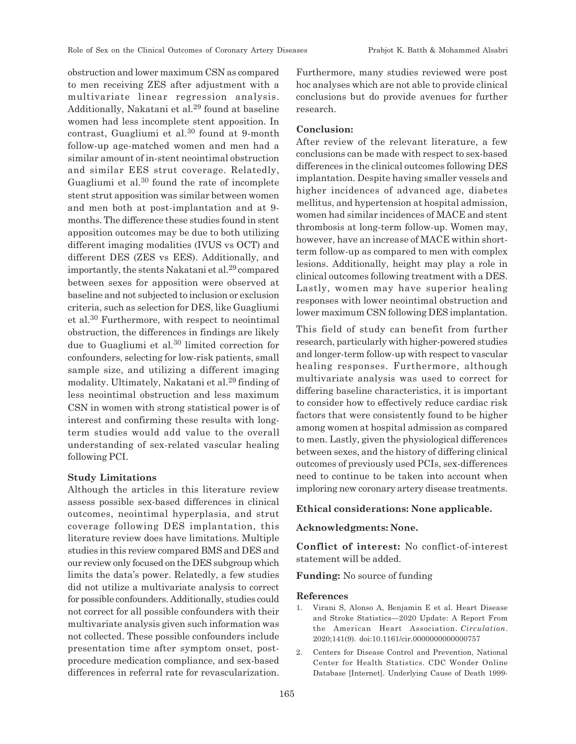obstruction and lower maximum CSN as compared to men receiving ZES after adjustment with a multivariate linear regression analysis. Additionally, Nakatani et al.29 found at baseline women had less incomplete stent apposition. In contrast, Guagliumi et al.30 found at 9-month follow-up age-matched women and men had a similar amount of in-stent neointimal obstruction and similar EES strut coverage. Relatedly, Guagliumi et al.30 found the rate of incomplete stent strut apposition was similar between women and men both at post-implantation and at 9 months. The difference these studies found in stent apposition outcomes may be due to both utilizing different imaging modalities (IVUS vs OCT) and different DES (ZES vs EES). Additionally, and importantly, the stents Nakatani et al.<sup>29</sup> compared between sexes for apposition were observed at baseline and not subjected to inclusion or exclusion criteria, such as selection for DES, like Guagliumi et al.30 Furthermore, with respect to neointimal obstruction, the differences in findings are likely due to Guagliumi et al.30 limited correction for confounders, selecting for low-risk patients, small sample size, and utilizing a different imaging modality. Ultimately, Nakatani et al.29 finding of less neointimal obstruction and less maximum CSN in women with strong statistical power is of interest and confirming these results with longterm studies would add value to the overall understanding of sex-related vascular healing following PCI.

#### **Study Limitations**

Although the articles in this literature review assess possible sex-based differences in clinical outcomes, neointimal hyperplasia, and strut coverage following DES implantation, this literature review does have limitations. Multiple studies in this review compared BMS and DES and our review only focused on the DES subgroup which limits the data's power. Relatedly, a few studies did not utilize a multivariate analysis to correct for possible confounders. Additionally, studies could not correct for all possible confounders with their multivariate analysis given such information was not collected. These possible confounders include presentation time after symptom onset, postprocedure medication compliance, and sex-based differences in referral rate for revascularization. Furthermore, many studies reviewed were post hoc analyses which are not able to provide clinical conclusions but do provide avenues for further research.

### **Conclusion:**

After review of the relevant literature, a few conclusions can be made with respect to sex-based differences in the clinical outcomes following DES implantation. Despite having smaller vessels and higher incidences of advanced age, diabetes mellitus, and hypertension at hospital admission, women had similar incidences of MACE and stent thrombosis at long-term follow-up. Women may, however, have an increase of MACE within shortterm follow-up as compared to men with complex lesions. Additionally, height may play a role in clinical outcomes following treatment with a DES. Lastly, women may have superior healing responses with lower neointimal obstruction and lower maximum CSN following DES implantation.

This field of study can benefit from further research, particularly with higher-powered studies and longer-term follow-up with respect to vascular healing responses. Furthermore, although multivariate analysis was used to correct for differing baseline characteristics, it is important to consider how to effectively reduce cardiac risk factors that were consistently found to be higher among women at hospital admission as compared to men. Lastly, given the physiological differences between sexes, and the history of differing clinical outcomes of previously used PCIs, sex-differences need to continue to be taken into account when imploring new coronary artery disease treatments.

#### **Ethical considerations: None applicable.**

#### **Acknowledgments: None.**

**Conflict of interest:** No conflict-of-interest statement will be added.

**Funding:** No source of funding

#### **References**

- 1. Virani S, Alonso A, Benjamin E et al. Heart Disease and Stroke Statistics—2020 Update: A Report From the American Heart Association. *Circulation*. 2020;141(9). doi:10.1161/cir.0000000000000757
- 2. Centers for Disease Control and Prevention, National Center for Health Statistics. CDC Wonder Online Database [Internet]. Underlying Cause of Death 1999-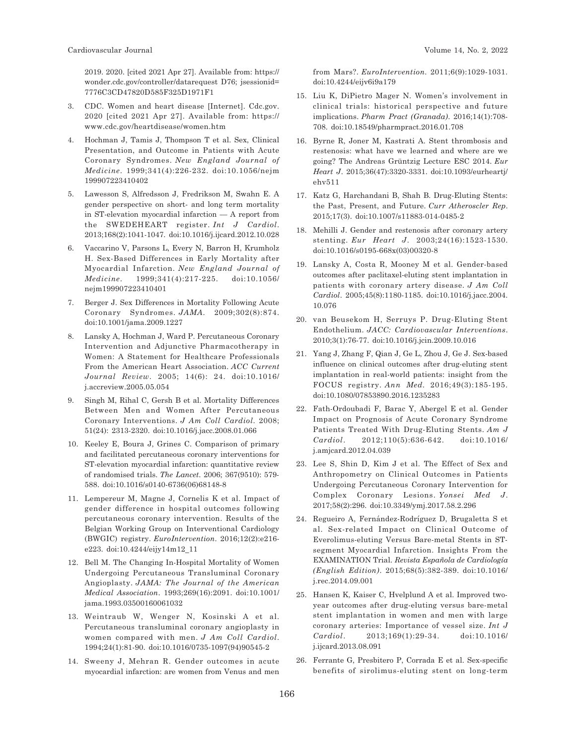2019. 2020. [cited 2021 Apr 27]. Available from: https:// wonder.cdc.gov/controller/datarequest D76; jsessionid= 7776C3CD47820D585F325D1971F1

- 3. CDC. Women and heart disease [Internet]. Cdc.gov. 2020 [cited 2021 Apr 27]. Available from: https:// www.cdc.gov/heartdisease/women.htm
- 4. Hochman J, Tamis J, Thompson T et al. Sex, Clinical Presentation, and Outcome in Patients with Acute Coronary Syndromes. *New England Journal of Medicine*. 1999;341(4):226-232. doi:10.1056/nejm 199907223410402
- 5. Lawesson S, Alfredsson J, Fredrikson M, Swahn E. A gender perspective on short- and long term mortality in ST-elevation myocardial infarction — A report from the SWEDEHEART register. *Int J Cardiol*. 2013;168(2):1041-1047. doi:10.1016/j.ijcard.2012.10.028
- 6. Vaccarino V, Parsons L, Every N, Barron H, Krumholz H. Sex-Based Differences in Early Mortality after Myocardial Infarction. *New England Journal of Medicine*. 1999;341(4):217-225. doi:10.1056/ nejm199907223410401
- 7. Berger J. Sex Differences in Mortality Following Acute Coronary Syndromes. *JAMA*. 2009;302(8):874. doi:10.1001/jama.2009.1227
- 8. Lansky A, Hochman J, Ward P. Percutaneous Coronary Intervention and Adjunctive Pharmacotherapy in Women: A Statement for Healthcare Professionals From the American Heart Association. *ACC Current Journal Review*. 2005; 14(6): 24. doi:10.1016/ j.accreview.2005.05.054
- 9. Singh M, Rihal C, Gersh B et al. Mortality Differences Between Men and Women After Percutaneous Coronary Interventions. *J Am Coll Cardiol*. 2008; 51(24): 2313-2320. doi:10.1016/j.jacc.2008.01.066
- 10. Keeley E, Boura J, Grines C. Comparison of primary and facilitated percutaneous coronary interventions for ST-elevation myocardial infarction: quantitative review of randomised trials. *The Lancet*. 2006; 367(9510): 579- 588. doi:10.1016/s0140-6736(06)68148-8
- 11. Lempereur M, Magne J, Cornelis K et al. Impact of gender difference in hospital outcomes following percutaneous coronary intervention. Results of the Belgian Working Group on Interventional Cardiology (BWGIC) registry. *EuroIntervention*. 2016;12(2):e216 e223. doi:10.4244/eijy14m12\_11
- 12. Bell M. The Changing In-Hospital Mortality of Women Undergoing Percutaneous Transluminal Coronary Angioplasty. *JAMA: The Journal of the American Medical Association*. 1993;269(16):2091. doi:10.1001/ jama.1993.03500160061032
- 13. Weintraub W, Wenger N, Kosinski A et al. Percutaneous transluminal coronary angioplasty in women compared with men. *J Am Coll Cardiol*. 1994;24(1):81-90. doi:10.1016/0735-1097(94)90545-2
- 14. Sweeny J, Mehran R. Gender outcomes in acute myocardial infarction: are women from Venus and men

from Mars?. *EuroIntervention*. 2011;6(9):1029-1031. doi:10.4244/eijv6i9a179

- 15. Liu K, DiPietro Mager N. Women's involvement in clinical trials: historical perspective and future implications. *Pharm Pract (Granada)*. 2016;14(1):708- 708. doi:10.18549/pharmpract.2016.01.708
- 16. Byrne R, Joner M, Kastrati A. Stent thrombosis and restenosis: what have we learned and where are we going? The Andreas Grüntzig Lecture ESC 2014. *Eur Heart J*. 2015;36(47):3320-3331. doi:10.1093/eurheartj/ ehv511
- 17. Katz G, Harchandani B, Shah B. Drug-Eluting Stents: the Past, Present, and Future. *Curr Atheroscler Rep*. 2015;17(3). doi:10.1007/s11883-014-0485-2
- 18. Mehilli J. Gender and restenosis after coronary artery stenting. *Eur Heart J*. 2003;24(16):1523-1530. doi:10.1016/s0195-668x(03)00320-8
- 19. Lansky A, Costa R, Mooney M et al. Gender-based outcomes after paclitaxel-eluting stent implantation in patients with coronary artery disease. *J Am Coll Cardiol*. 2005;45(8):1180-1185. doi:10.1016/j.jacc.2004. 10.076
- 20. van Beusekom H, Serruys P. Drug-Eluting Stent Endothelium. *JACC: Cardiovascular Interventions*. 2010;3(1):76-77. doi:10.1016/j.jcin.2009.10.016
- 21. Yang J, Zhang F, Qian J, Ge L, Zhou J, Ge J. Sex-based influence on clinical outcomes after drug-eluting stent implantation in real-world patients: insight from the FOCUS registry. *Ann Med*. 2016;49(3):185-195. doi:10.1080/07853890.2016.1235283
- 22. Fath-Ordoubadi F, Barac Y, Abergel E et al. Gender Impact on Prognosis of Acute Coronary Syndrome Patients Treated With Drug-Eluting Stents. *Am J Cardiol*. 2012;110(5):636-642. doi:10.1016/ j.amjcard.2012.04.039
- 23. Lee S, Shin D, Kim J et al. The Effect of Sex and Anthropometry on Clinical Outcomes in Patients Undergoing Percutaneous Coronary Intervention for Complex Coronary Lesions. *Yonsei Med J*. 2017;58(2):296. doi:10.3349/ymj.2017.58.2.296
- 24. Regueiro A, Fernández-Rodríguez D, Brugaletta S et al. Sex-related Impact on Clinical Outcome of Everolimus-eluting Versus Bare-metal Stents in STsegment Myocardial Infarction. Insights From the EXAMINATION Trial. *Revista Española de Cardiología (English Edition)*. 2015;68(5):382-389. doi:10.1016/ j.rec.2014.09.001
- 25. Hansen K, Kaiser C, Hvelplund A et al. Improved twoyear outcomes after drug-eluting versus bare-metal stent implantation in women and men with large coronary arteries: Importance of vessel size. *Int J Cardiol*. 2013;169(1):29-34. doi:10.1016/ j.ijcard.2013.08.091
- 26. Ferrante G, Presbitero P, Corrada E et al. Sex-specific benefits of sirolimus-eluting stent on long-term